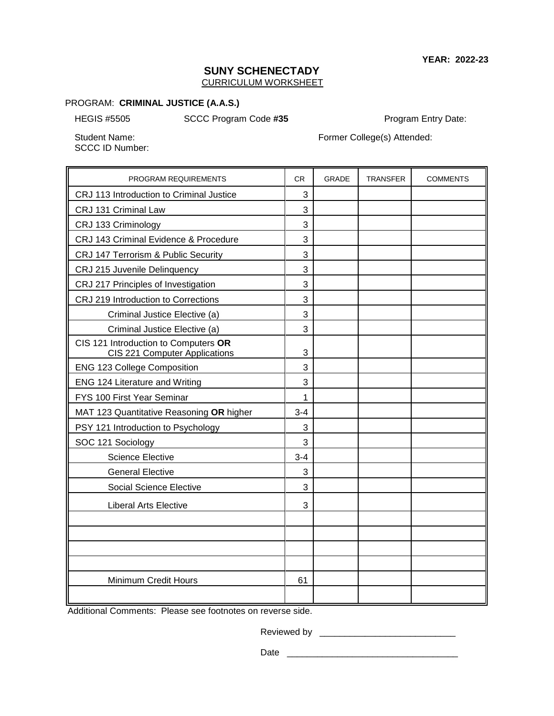## **SUNY SCHENECTADY** CURRICULUM WORKSHEET

#### PROGRAM: **CRIMINAL JUSTICE (A.A.S.)**

HEGIS #5505 SCCC Program Code **#35** Program Entry Date:

SCCC ID Number:

Student Name: Student Name: Former College(s) Attended:

| PROGRAM REQUIREMENTS                                                  | <b>CR</b> | <b>GRADE</b> | <b>TRANSFER</b> | <b>COMMENTS</b> |
|-----------------------------------------------------------------------|-----------|--------------|-----------------|-----------------|
| CRJ 113 Introduction to Criminal Justice                              | 3         |              |                 |                 |
| CRJ 131 Criminal Law                                                  | 3         |              |                 |                 |
| CRJ 133 Criminology                                                   | 3         |              |                 |                 |
| CRJ 143 Criminal Evidence & Procedure                                 | 3         |              |                 |                 |
| CRJ 147 Terrorism & Public Security                                   | 3         |              |                 |                 |
| CRJ 215 Juvenile Delinquency                                          | 3         |              |                 |                 |
| CRJ 217 Principles of Investigation                                   | 3         |              |                 |                 |
| CRJ 219 Introduction to Corrections                                   | 3         |              |                 |                 |
| Criminal Justice Elective (a)                                         | 3         |              |                 |                 |
| Criminal Justice Elective (a)                                         | 3         |              |                 |                 |
| CIS 121 Introduction to Computers OR<br>CIS 221 Computer Applications | 3         |              |                 |                 |
| <b>ENG 123 College Composition</b>                                    | 3         |              |                 |                 |
| <b>ENG 124 Literature and Writing</b>                                 | 3         |              |                 |                 |
| FYS 100 First Year Seminar                                            | 1         |              |                 |                 |
| MAT 123 Quantitative Reasoning OR higher                              | $3-4$     |              |                 |                 |
| PSY 121 Introduction to Psychology                                    | 3         |              |                 |                 |
| SOC 121 Sociology                                                     | 3         |              |                 |                 |
| <b>Science Elective</b>                                               | $3 - 4$   |              |                 |                 |
| <b>General Elective</b>                                               | 3         |              |                 |                 |
| Social Science Elective                                               | 3         |              |                 |                 |
| <b>Liberal Arts Elective</b>                                          | 3         |              |                 |                 |
|                                                                       |           |              |                 |                 |
|                                                                       |           |              |                 |                 |
|                                                                       |           |              |                 |                 |
|                                                                       |           |              |                 |                 |
| Minimum Credit Hours                                                  | 61        |              |                 |                 |
|                                                                       |           |              |                 |                 |

Additional Comments: Please see footnotes on reverse side.

Reviewed by \_\_\_\_\_\_\_\_\_\_\_\_\_\_\_\_\_\_\_\_\_\_\_\_\_\_\_